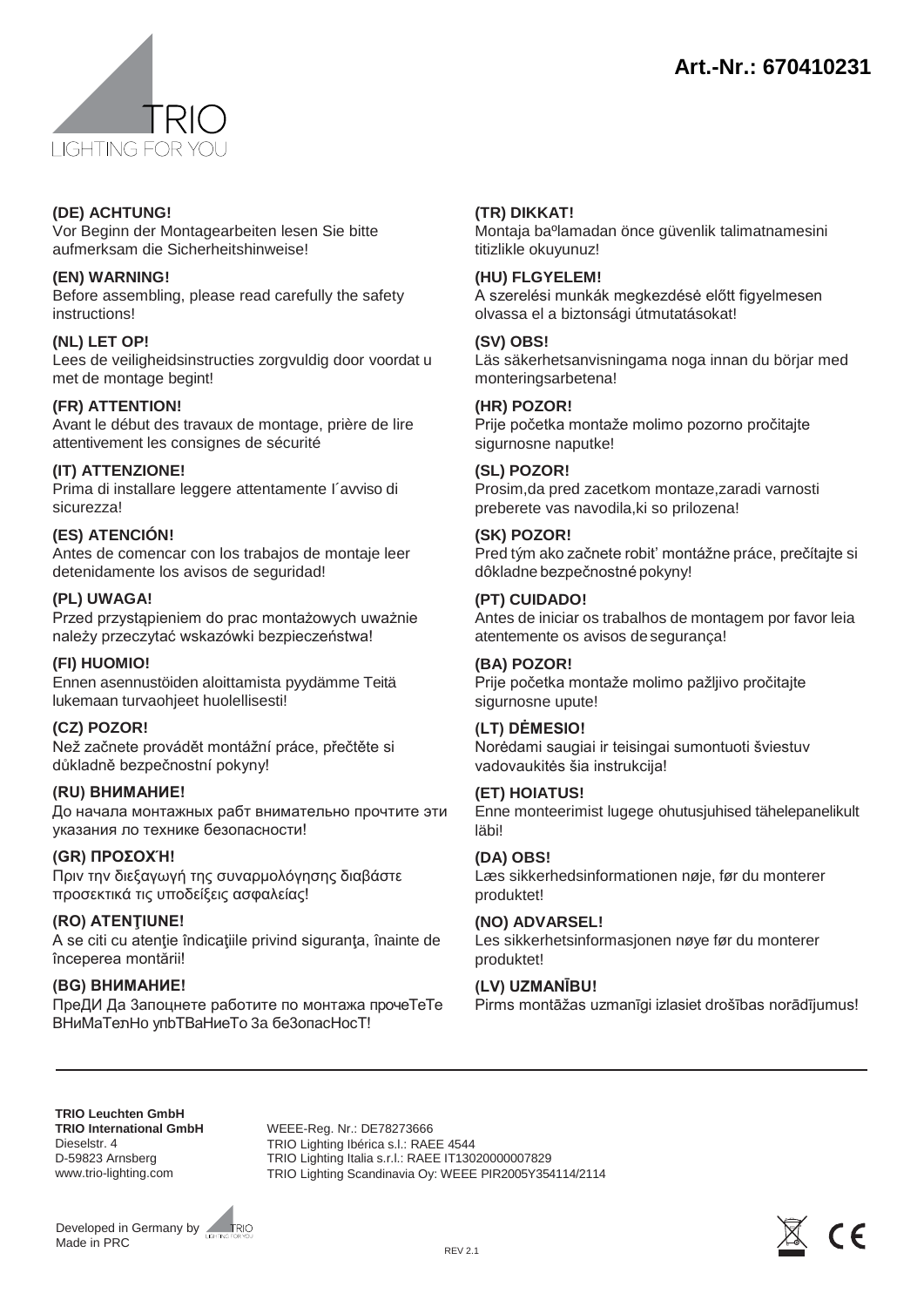



#### **(DE) ACHTUNG!**

Vor Beginn der Montagearbeiten lesen Sie bitte aufmerksam die Sicherheitshinweise!

## **(EN) WARNING!**

Before assembling, please read carefully the safety instructions!

# **(NL) LET OP!**

Lees de veiligheidsinstructies zorgvuldig door voordat u met de montage begint!

# **(FR) ATTENTION!**

Avant le début des travaux de montage, prière de lire attentivement les consignes de sécurité

# **(IT) ATTENZIONE!**

Prima di installare leggere attentamente I´avviso di sicurezza!

## **(ES) ATENCIÓN!**

Antes de comencar con los trabajos de montaje leer detenidamente los avisos de seguridad!

## **(PL) UWAGA!**

Przed przystąpieniem do prac montażowych uważnie należy przeczytać wskazówki bezpieczeństwa!

#### **(FI) HUOMIO!**

Ennen asennustöiden aloittamista pyydämme Teitä lukemaan turvaohjeet huolellisesti!

#### **(CZ) POZOR!**

Než začnete provádět montážní práce, přečtěte si důkladně bezpečnostní pokyny!

#### **(RU) ВНИМАНИЕ!**

До начала монтажных рабт внимательно прочтите эти указания ло технике безопасности!

# **(GR) ΠΡΟΣΟΧΉ!**

Πριν την διεξαγωγή της συναρμολόγησης διαβάστε προσεκτικά τις υποδείξεις ασφαλείας!

**(RO) ATENŢIUNE!** A se citi cu atenţie îndicaţiile privind siguranţa, înainte de începerea montării!

# **(BG) BΗИMAHИE!**

ΠpeДИ Дa 3aпoцнeтe paботите по монтaжа пpoчeTeTe BHиMaTeתHo yпbTBaHиeTo 3a бe3oпacHocT!

## **(TR) DIKKAT!**

Montaja baºlamadan önce güvenlik talimatnamesini titizlikle okuyunuz!

#### **(HU) FLGYELEM!**

A szerelési munkák megkezdésė előtt figyelmesen olvassa el a biztonsági útmutatásokat!

## **(SV) OBS!**

Läs säkerhetsanvisningama noga innan du börjar med monteringsarbetena!

#### **(HR) POZOR!**

Prije početka montaže molimo pozorno pročitajte sigurnosne naputke!

## **(SL) POZOR!**

Prosim,da pred zacetkom montaze,zaradi varnosti preberete vas navodila,ki so prilozena!

## **(SK) POZOR!**

Pred tým ako začnete robit' montážne práce, prečίtajte si dôkladne bezpečnostné pokyny!

## **(PT) CUIDADO!**

Antes de iniciar os trabalhos de montagem por favor leia atentemente os avisos de segurança!

#### **(BA) POZOR!**

Prije početka montaže molimo pažljivo pročitajte sigurnosne upute!

# **(LT) DĖMESIO!**

Norėdami saugiai ir teisingai sumontuoti šviestuv vadovaukitės šia instrukcija!

# **(ET) HOIATUS!**

Enne monteerimist lugege ohutusjuhised tähelepanelikult läbi!

#### **(DA) OBS!**

Læs sikkerhedsinformationen nøje, før du monterer produktet!

# **(NO) ADVARSEL!**

Les sikkerhetsinformasjonen nøye før du monterer produktet!

#### **(LV) UZMANĪBU!**

Pirms montāžas uzmanīgi izlasiet drošības norādījumus!

**TRIO Leuchten GmbH TRIO International GmbH**  Dieselstr. 4 D-59823 Arnsberg [www.trio-lighting.com](http://www.trio-lighting.com/)

WEEE-Reg. Nr.: DE78273666 TRIO Lighting Ibérica s.l.: RAEE 4544 TRIO Lighting Italia s.r.l.: RAEE IT13020000007829 TRIO Lighting Scandinavia Oy: WEEE PIR2005Y354114/2114